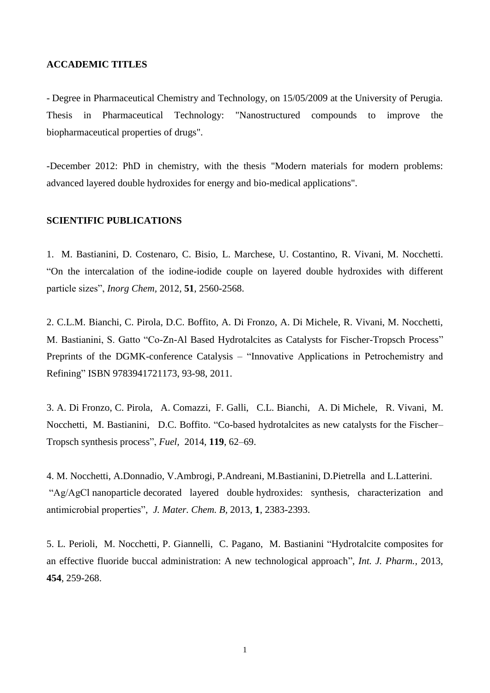## **ACCADEMIC TITLES**

- Degree in Pharmaceutical Chemistry and Technology, on 15/05/2009 at the University of Perugia. Thesis in Pharmaceutical Technology: "Nanostructured compounds to improve the biopharmaceutical properties of drugs".

-December 2012: PhD in chemistry, with the thesis "Modern materials for modern problems: advanced layered double hydroxides for energy and bio-medical applications".

## **SCIENTIFIC PUBLICATIONS**

1. M. Bastianini, D. Costenaro, C. Bisio, L. Marchese, U. Costantino, R. Vivani, M. Nocchetti. "On the intercalation of the iodine-iodide couple on layered double hydroxides with different particle sizes", *Inorg Chem,* 2012, **51**, 2560-2568.

2. C.L.M. Bianchi, C. Pirola, D.C. Boffito, A. Di Fronzo, A. Di Michele, R. Vivani, M. Nocchetti, M. Bastianini, S. Gatto "Co-Zn-Al Based Hydrotalcites as Catalysts for Fischer-Tropsch Process" Preprints of the DGMK-conference Catalysis – "Innovative Applications in Petrochemistry and Refining" ISBN 9783941721173, 93-98, 2011.

3. [A. Di Fronzo, C. Pirola,](http://www.sciencedirect.com/science/article/pii/S0016236113010600) [A. Comazzi,](http://www.sciencedirect.com/science/article/pii/S0016236113010600) [F. Galli,](http://www.sciencedirect.com/science/article/pii/S0016236113010600) [C.L. Bianchi,](http://www.sciencedirect.com/science/article/pii/S0016236113010600) [A. Di Michele,](http://www.sciencedirect.com/science/article/pii/S0016236113010600) [R. Vivani,](http://www.sciencedirect.com/science/article/pii/S0016236113010600) [M.](http://www.sciencedirect.com/science/article/pii/S0016236113010600)  [Nocchetti,](http://www.sciencedirect.com/science/article/pii/S0016236113010600) [M. Bastianini,](http://www.sciencedirect.com/science/article/pii/S0016236113010600) [D.C. Boffito.](http://www.sciencedirect.com/science/article/pii/S0016236113010600) "Co-based hydrotalcites as new catalysts for the Fischer– Tropsch synthesis process", *Fuel,* [2014,](http://www.sciencedirect.com/science/journal/00162361/119/supp/C) **119**, 62–69.

4. M. Nocchetti, A.Donnadio, V.Ambrogi, P.Andreani, M.Bastianini, D.Pietrella and L.Latterini. "Ag/AgCl [nanoparticle](javascript:popupOBO() decorated layered double [hydroxides:](javascript:popupOBO() synthesis, characterization and antimicrobial properties", *J. Mater. Chem. B,* 2013, **1**, 2383-2393.

5. L. [Perioli,](http://www.sciencedirect.com/science/article/pii/S0378517313005905) M. [Nocchetti,](http://www.sciencedirect.com/science/article/pii/S0378517313005905) P. [Giannelli,](http://www.sciencedirect.com/science/article/pii/S0378517313005905) C. [Pagano,](http://www.sciencedirect.com/science/article/pii/S0378517313005905) M. [Bastianini](http://www.sciencedirect.com/science/article/pii/S0378517313005905) "Hydrotalcite composites for an effective fluoride buccal administration: A new technological approach", *Int. J. Pharm.,* 2013, **454**, 259-268.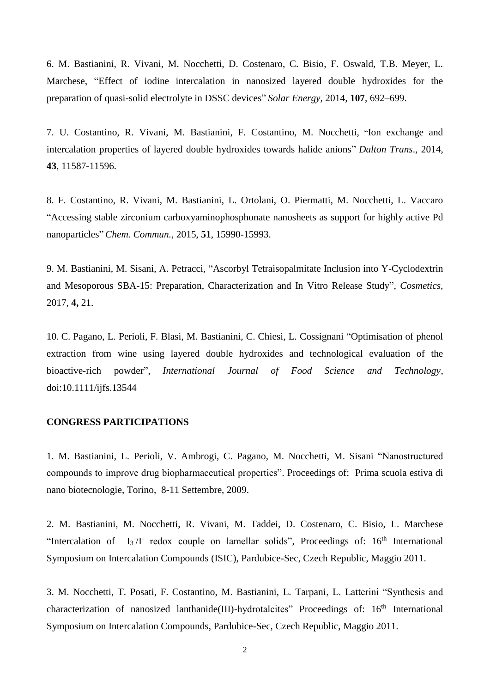6. M. Bastianini, R. Vivani, M. Nocchetti, D. Costenaro, C. Bisio, F. Oswald, T.B. Meyer, L. Marchese, "Effect of iodine intercalation in nanosized layered double hydroxides for the preparation of quasi-solid electrolyte in DSSC devices" *Solar Energy*, 2014, **107**, 692–699.

7. U. Costantino, R. Vivani, M. Bastianini, F. Costantino, M. Nocchetti, "Ion exchange and intercalation properties of layered double hydroxides towards halide anions" *Dalton Trans*., 2014, **43**, 11587-11596.

8. F. Costantino, R. Vivani, M. Bastianini, L. Ortolani, O. Piermatti, M. Nocchetti, L. Vaccaro "Accessing stable zirconium carboxyaminophosphonate nanosheets as support for highly active Pd nanoparticles" *Chem. Commun.,* 2015, **51**, 15990-15993.

9. M. Bastianini, M. Sisani, A. Petracci, "Ascorbyl Tetraisopalmitate Inclusion into Υ-Cyclodextrin and Mesoporous SBA-15: Preparation, Characterization and In Vitro Release Study", *Cosmetics,* 2017, **4,** 21.

10. C. Pagano, L. Perioli, F. Blasi, M. Bastianini, C. Chiesi, L. Cossignani "Optimisation of phenol extraction from wine using layered double hydroxides and technological evaluation of the bioactive-rich powder", *International Journal of Food Science and Technology*, doi:10.1111/ijfs.13544

## **CONGRESS PARTICIPATIONS**

1. M. Bastianini, L. Perioli, V. Ambrogi, C. Pagano, M. Nocchetti, M. Sisani "Nanostructured compounds to improve drug biopharmaceutical properties". Proceedings of: Prima scuola estiva di nano biotecnologie, Torino, 8-11 Settembre, 2009.

2. M. Bastianini, M. Nocchetti, R. Vivani, M. Taddei, D. Costenaro, C. Bisio, L. Marchese "Intercalation of  $I_3/I$  redox couple on lamellar solids", Proceedings of:  $16<sup>th</sup>$  International Symposium on Intercalation Compounds (ISIC), Pardubice-Sec, Czech Republic, Maggio 2011.

3. M. Nocchetti, T. Posati, F. Costantino, M. Bastianini, L. Tarpani, L. Latterini "Synthesis and characterization of nanosized lanthanide(III)-hydrotalcites" Proceedings of: 16<sup>th</sup> International Symposium on Intercalation Compounds, Pardubice-Sec, Czech Republic, Maggio 2011.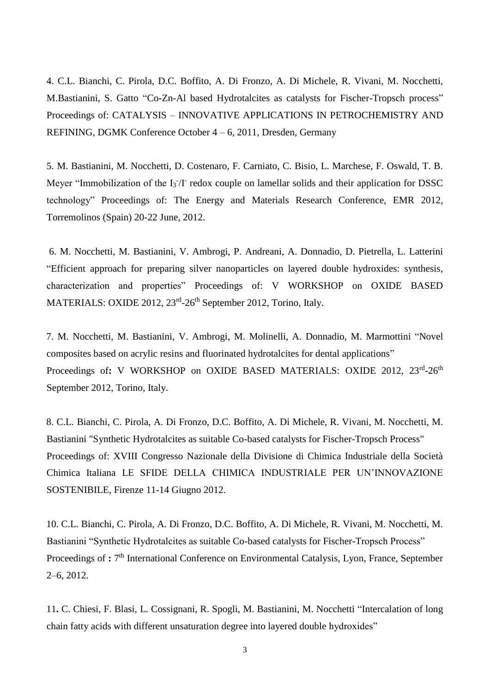4. C.L. Bianchi, C. Pirola, D.C. Boffito, A. Di Fronzo, A. Di Michele, R. Vivani, M. Nocchetti, M.Bastianini, S. Gatto "Co-Zn-Al based Hydrotalcites as catalysts for Fischer-Tropsch process" Proceedings of: CATALYSIS – INNOVATIVE APPLICATIONS IN PETROCHEMISTRY AND REFINING, DGMK Conference October 4 – 6, 2011, Dresden, Germany

5. M. Bastianini, M. Nocchetti, D. Costenaro, F. Carniato, C. Bisio, L. Marchese, F. Oswald, T. B. Meyer "Immobilization of the I<sub>3</sub><sup>-</sup>/I<sup>-</sup> redox couple on lamellar solids and their application for DSSC technology" Proceedings of: The Energy and Materials Research Conference, EMR 2012, Torremolinos (Spain) 20-22 June, 2012.

6. M. Nocchetti, M. Bastianini, V. Ambrogi, P. Andreani, A. Donnadio, D. Pietrella, L. Latterini "Efficient approach for preparing silver nanoparticles on layered double hydroxides: synthesis, characterization and properties" Proceedings of: V WORKSHOP on OXIDE BASED MATERIALS: OXIDE 2012, 23<sup>rd</sup>-26<sup>th</sup> September 2012, Torino, Italy.

 7. M. Nocchetti, M. Bastianini, V. Ambrogi, M. Molinelli, A. Donnadio, M. Marmottini "Novel composites based on acrylic resins and fluorinated hydrotalcites for dental applications" Proceedings of: V WORKSHOP on OXIDE BASED MATERIALS: OXIDE 2012, 23<sup>rd</sup>-26<sup>th</sup> September 2012, Torino, Italy.

 8. C.L. Bianchi, C. Pirola, A. Di Fronzo, D.C. Boffito, A. Di Michele, R. Vivani, M. Nocchetti, M. Bastianini "Synthetic Hydrotalcites as suitable Co-based catalysts for Fischer-Tropsch Process" Proceedings of: XVIII Congresso Nazionale della Divisione di Chimica Industriale della Società Chimica Italiana LE SFIDE DELLA CHIMICA INDUSTRIALE PER UN'INNOVAZIONE SOSTENIBILE, Firenze 11-14 Giugno 2012.

 10. C.L. Bianchi, C. Pirola, A. Di Fronzo, D.C. Boffito, A. Di Michele, R. Vivani, M. Nocchetti, M. Bastianini "Synthetic Hydrotalcites as suitable Co-based catalysts for Fischer-Tropsch Process" Proceedings of : 7<sup>th</sup> International Conference on Environmental Catalysis, Lyon, France, September 2–6, 2012.

 11**.** C. Chiesi, F. Blasi, L. Cossignani, R. Spogli, M. Bastianini, M. Nocchetti "Intercalation of long chain fatty acids with different unsaturation degree into layered double hydroxides"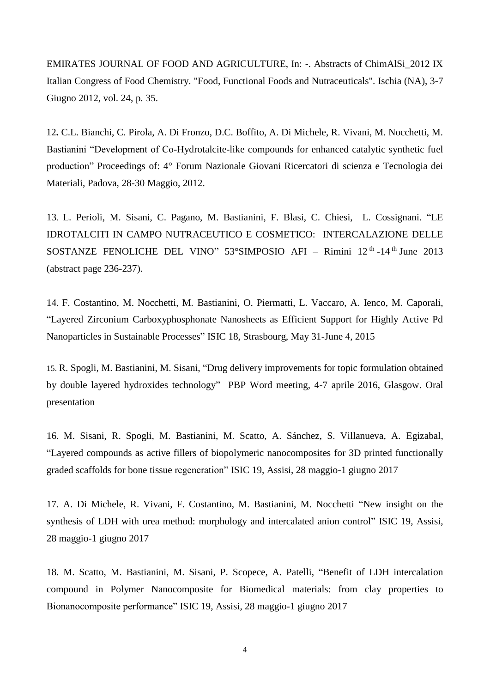EMIRATES JOURNAL OF FOOD AND AGRICULTURE, In: -. Abstracts of ChimAlSi\_2012 IX Italian Congress of Food Chemistry. "Food, Functional Foods and Nutraceuticals". Ischia (NA), 3-7 Giugno 2012, vol. 24, p. 35.

 12**.** C.L. Bianchi, C. Pirola, A. Di Fronzo, D.C. Boffito, A. Di Michele, R. Vivani, M. Nocchetti, M. Bastianini "Development of Co-Hydrotalcite-like compounds for enhanced catalytic synthetic fuel production" Proceedings of: 4° Forum Nazionale Giovani Ricercatori di scienza e Tecnologia dei Materiali, Padova, 28-30 Maggio, 2012.

13. L. Perioli, M. Sisani, C. Pagano, M. Bastianini, F. Blasi, C. Chiesi, L. Cossignani. "LE IDROTALCITI IN CAMPO NUTRACEUTICO E COSMETICO: INTERCALAZIONE DELLE SOSTANZE FENOLICHE DEL VINO"  $53^{\circ}$ SIMPOSIO AFI – Rimini 12<sup>th</sup> -14<sup>th</sup> June 2013 (abstract page 236-237).

14. F. Costantino, M. Nocchetti, M. Bastianini, O. Piermatti, L. Vaccaro, A. Ienco, M. Caporali, "Layered Zirconium Carboxyphosphonate Nanosheets as Efficient Support for Highly Active Pd Nanoparticles in Sustainable Processes" ISIC 18, Strasbourg, May 31-June 4, 2015

15. R. Spogli, M. Bastianini, M. Sisani, "Drug delivery improvements for topic formulation obtained by double layered hydroxides technology" PBP Word meeting, 4-7 aprile 2016, Glasgow. Oral presentation

16. M. Sisani, R. Spogli, M. Bastianini, M. Scatto, A. Sánchez, S. Villanueva, A. Egizabal, "Layered compounds as active fillers of biopolymeric nanocomposites for 3D printed functionally graded scaffolds for bone tissue regeneration" ISIC 19, Assisi, 28 maggio-1 giugno 2017

17. A. Di Michele, R. Vivani, F. Costantino, M. Bastianini, M. Nocchetti "New insight on the synthesis of LDH with urea method: morphology and intercalated anion control" ISIC 19, Assisi, 28 maggio-1 giugno 2017

18. M. Scatto, M. Bastianini, M. Sisani, P. Scopece, A. Patelli, "Benefit of LDH intercalation compound in Polymer Nanocomposite for Biomedical materials: from clay properties to Bionanocomposite performance" ISIC 19, Assisi, 28 maggio-1 giugno 2017

4